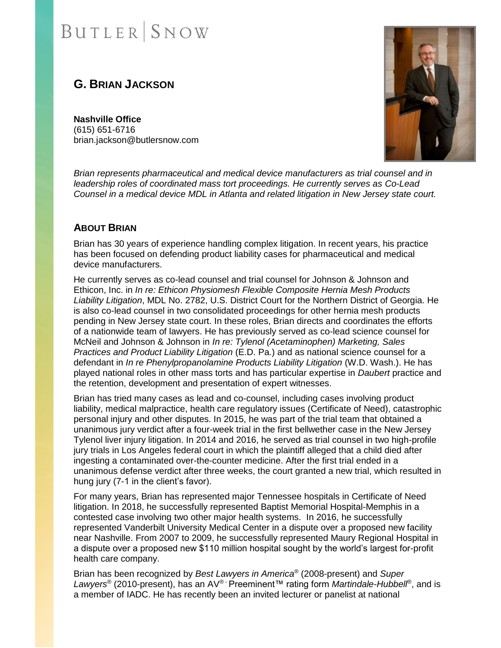# **G. BRIAN JACKSON**

**Nashville Office** (615) 651-6716 brian.jackson@butlersnow.com



*Brian represents pharmaceutical and medical device manufacturers as trial counsel and in leadership roles of coordinated mass tort proceedings. He currently serves as Co-Lead Counsel in a medical device MDL in Atlanta and related litigation in New Jersey state court.*

### **ABOUT BRIAN**

Brian has 30 years of experience handling complex litigation. In recent years, his practice has been focused on defending product liability cases for pharmaceutical and medical device manufacturers.

He currently serves as co-lead counsel and trial counsel for Johnson & Johnson and Ethicon, Inc. in *In re: Ethicon Physiomesh Flexible Composite Hernia Mesh Products Liability Litigation*, MDL No. 2782, U.S. District Court for the Northern District of Georgia. He is also co-lead counsel in two consolidated proceedings for other hernia mesh products pending in New Jersey state court. In these roles, Brian directs and coordinates the efforts of a nationwide team of lawyers. He has previously served as co-lead science counsel for McNeil and Johnson & Johnson in *In re: Tylenol (Acetaminophen) Marketing, Sales Practices and Product Liability Litigation* (E.D. Pa.) and as national science counsel for a defendant in *In re Phenylpropanolamine Products Liability Litigation* (W.D. Wash.). He has played national roles in other mass torts and has particular expertise in *Daubert* practice and the retention, development and presentation of expert witnesses.

Brian has tried many cases as lead and co-counsel, including cases involving product liability, medical malpractice, health care regulatory issues (Certificate of Need), catastrophic personal injury and other disputes. In 2015, he was part of the trial team that obtained a unanimous jury verdict after a four-week trial in the first bellwether case in the New Jersey Tylenol liver injury litigation. In 2014 and 2016, he served as trial counsel in two high-profile jury trials in Los Angeles federal court in which the plaintiff alleged that a child died after ingesting a contaminated over-the-counter medicine. After the first trial ended in a unanimous defense verdict after three weeks, the court granted a new trial, which resulted in hung jury (7-1 in the client's favor).

For many years, Brian has represented major Tennessee hospitals in Certificate of Need litigation. In 2018, he successfully represented Baptist Memorial Hospital-Memphis in a contested case involving two other major health systems. In 2016, he successfully represented Vanderbilt University Medical Center in a dispute over a proposed new facility near Nashville. From 2007 to 2009, he successfully represented Maury Regional Hospital in a dispute over a proposed new \$110 million hospital sought by the world's largest for-profit health care company.

Brian has been recognized by *Best Lawyers in America®* (2008-present) and *Super Lawyers®* (2010-present), has an AV*® -* Preeminent™ rating form *Martindale-Hubbell®* , and is a member of IADC. He has recently been an invited lecturer or panelist at national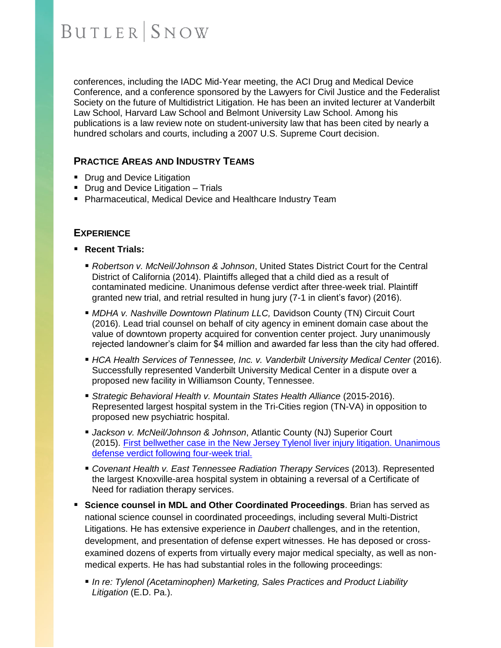conferences, including the IADC Mid-Year meeting, the ACI Drug and Medical Device Conference, and a conference sponsored by the Lawyers for Civil Justice and the Federalist Society on the future of Multidistrict Litigation. He has been an invited lecturer at Vanderbilt Law School, Harvard Law School and Belmont University Law School. Among his publications is a law review note on student-university law that has been cited by nearly a hundred scholars and courts, including a 2007 U.S. Supreme Court decision.

#### **PRACTICE AREAS AND INDUSTRY TEAMS**

- Drug and Device Litigation
- **Drug and Device Litigation Trials**
- Pharmaceutical, Medical Device and Healthcare Industry Team

#### **EXPERIENCE**

- **Recent Trials:**
	- *Robertson v. McNeil/Johnson & Johnson*, United States District Court for the Central District of California (2014). Plaintiffs alleged that a child died as a result of contaminated medicine. Unanimous defense verdict after three-week trial. Plaintiff granted new trial, and retrial resulted in hung jury (7-1 in client's favor) (2016).
	- **. MDHA v. Nashville Downtown Platinum LLC, Davidson County (TN) Circuit Court** (2016). Lead trial counsel on behalf of city agency in eminent domain case about the value of downtown property acquired for convention center project. Jury unanimously rejected landowner's claim for \$4 million and awarded far less than the city had offered.
	- *HCA Health Services of Tennessee, Inc. v. Vanderbilt University Medical Center* (2016). Successfully represented Vanderbilt University Medical Center in a dispute over a proposed new facility in Williamson County, Tennessee.
	- *Strategic Behavioral Health v. Mountain States Health Alliance* (2015-2016). Represented largest hospital system in the Tri-Cities region (TN-VA) in opposition to proposed new psychiatric hospital.
	- *Jackson v. McNeil/Johnson & Johnson*, Atlantic County (NJ) Superior Court (2015). First bellwether [case in the New Jersey Tylenol liver injury litigation. Unanimous](http://blog.cvn.com/cvn-top-10-defense-verdicts-of-2015)  [defense verdict following four-week trial.](http://blog.cvn.com/cvn-top-10-defense-verdicts-of-2015)
	- *Covenant Health v. East Tennessee Radiation Therapy Services* (2013). Represented the largest Knoxville-area hospital system in obtaining a reversal of a Certificate of Need for radiation therapy services.
- **Science counsel in MDL and Other Coordinated Proceedings**. Brian has served as national science counsel in coordinated proceedings, including several Multi-District Litigations. He has extensive experience in *Daubert* challenges, and in the retention, development, and presentation of defense expert witnesses. He has deposed or crossexamined dozens of experts from virtually every major medical specialty, as well as nonmedical experts. He has had substantial roles in the following proceedings:
	- **. In re: Tylenol (Acetaminophen) Marketing, Sales Practices and Product Liability** *Litigation* (E.D. Pa.).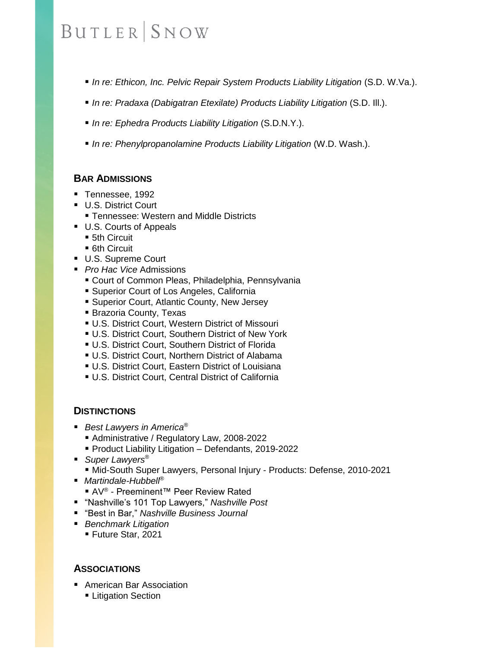- *In re: Ethicon, Inc. Pelvic Repair System Products Liability Litigation* (S.D. W.Va.).
- *In re: Pradaxa (Dabigatran Etexilate) Products Liability Litigation* (S.D. Ⅲ.).
- *In re: Ephedra Products Liability Litigation* (S.D.N.Y.).
- *In re: Phenylpropanolamine Products Liability Litigation* (W.D. Wash.).

## **BAR ADMISSIONS**

- Tennessee, 1992
- U.S. District Court
	- **Tennessee: Western and Middle Districts**
- U.S. Courts of Appeals
	- 5th Circuit
	- 6th Circuit
- U.S. Supreme Court
- *Pro Hac Vice* Admissions
	- Court of Common Pleas, Philadelphia, Pennsylvania
	- **E** Superior Court of Los Angeles, California
	- Superior Court, Atlantic County, New Jersey
	- **Brazoria County, Texas**
	- **U.S. District Court, Western District of Missouri**
	- U.S. District Court, Southern District of New York
	- **U.S. District Court, Southern District of Florida**
	- **U.S. District Court, Northern District of Alabama**
	- **U.S. District Court, Eastern District of Louisiana**
	- **U.S. District Court, Central District of California**

### **DISTINCTIONS**

- *Best Lawyers in America®* 
	- Administrative / Regulatory Law, 2008-2022
	- Product Liability Litigation Defendants, 2019-2022
- *Super Lawyers*<sup>®</sup>
	- Mid-South Super Lawyers, Personal Injury Products: Defense, 2010-2021
- *Martindale-Hubbell<sup>®</sup>* 
	- AV<sup>®</sup> Preeminent™ Peer Review Rated
- "Nashville's 101 Top Lawyers," *Nashville Post*
- "Best in Bar," *Nashville Business Journal*
- *Benchmark Litigation* 
	- Future Star, 2021

### **ASSOCIATIONS**

- American Bar Association
	- **Example 1** Litigation Section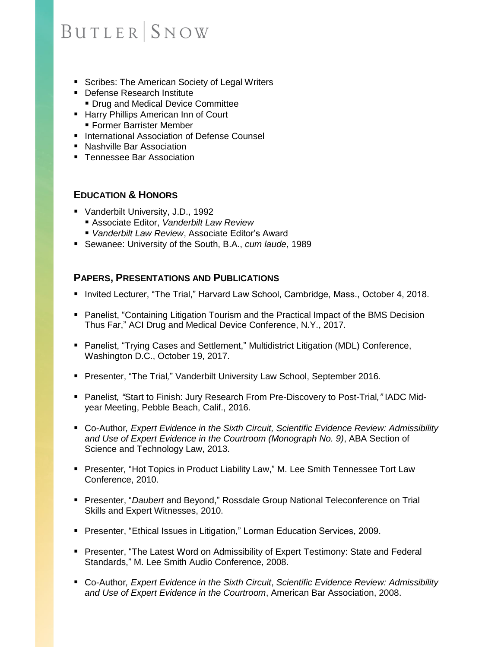- Scribes: The American Society of Legal Writers
- Defense Research Institute **• Drug and Medical Device Committee**
- Harry Phillips American Inn of Court
	- Former Barrister Member
- International Association of Defense Counsel
- Nashville Bar Association
- Tennessee Bar Association

### **EDUCATION & HONORS**

- Vanderbilt University, J.D., 1992
	- Associate Editor, Vanderbilt Law Review
	- Vanderbilt Law Review, Associate Editor's Award
- Sewanee: University of the South, B.A., *cum laude*, 1989

### **PAPERS, PRESENTATIONS AND PUBLICATIONS**

- Invited Lecturer, "The Trial," Harvard Law School, Cambridge, Mass., October 4, 2018.
- Panelist, "Containing Litigation Tourism and the Practical Impact of the BMS Decision Thus Far," ACI Drug and Medical Device Conference, N.Y., 2017.
- Panelist, "Trying Cases and Settlement," Multidistrict Litigation (MDL) Conference, Washington D.C., October 19, 2017.
- Presenter, "The Trial*,*" Vanderbilt University Law School, September 2016.
- Panelist*, "*Start to Finish: Jury Research From Pre-Discovery to Post-Trial*,"* IADC Midyear Meeting, Pebble Beach, Calif., 2016.
- Co-Author, *Expert Evidence in the Sixth Circuit, Scientific Evidence Review: Admissibility and Use of Expert Evidence in the Courtroom (Monograph No. 9)*, ABA Section of Science and Technology Law, 2013.
- Presenter, "Hot Topics in Product Liability Law," M. Lee Smith Tennessee Tort Law Conference, 2010.
- Presenter, "*Daubert* and Beyond," Rossdale Group National Teleconference on Trial Skills and Expert Witnesses, 2010.
- Presenter, "Ethical Issues in Litigation," Lorman Education Services, 2009.
- Presenter, "The Latest Word on Admissibility of Expert Testimony: State and Federal Standards," M. Lee Smith Audio Conference, 2008.
- Co-Author*, Expert Evidence in the Sixth Circuit*, *Scientific Evidence Review: Admissibility and Use of Expert Evidence in the Courtroom*, American Bar Association, 2008.